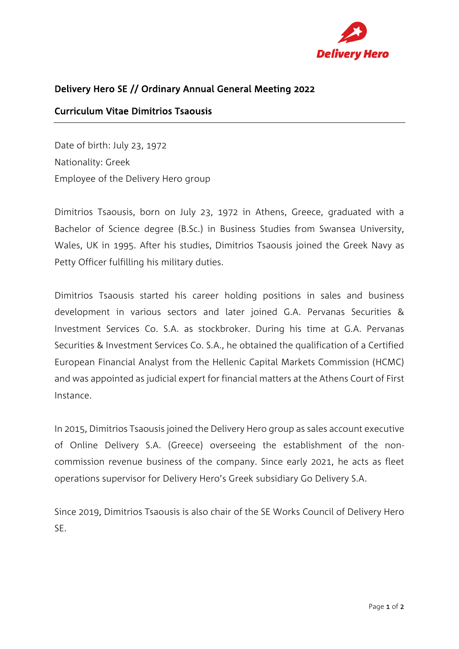

## Delivery Hero SE // Ordinary Annual General Meeting 2022

#### Curriculum Vitae Dimitrios Tsaousis

Date of birth: July 23, 1972 Nationality: Greek Employee of the Delivery Hero group

Dimitrios Tsaousis, born on July 23, 1972 in Athens, Greece, graduated with a Bachelor of Science degree (B.Sc.) in Business Studies from Swansea University, Wales, UK in 1995. After his studies, Dimitrios Tsaousis joined the Greek Navy as Petty Officer fulfilling his military duties.

Dimitrios Tsaousis started his career holding positions in sales and business development in various sectors and later joined G.A. Pervanas Securities & Investment Services Co. S.A. as stockbroker. During his time at G.A. Pervanas Securities & Investment Services Co. S.A., he obtained the qualification of a Certified European Financial Analyst from the Hellenic Capital Markets Commission (HCMC) and was appointed as judicial expert for financial matters at the Athens Court of First Instance.

In 2015, Dimitrios Tsaousis joined the Delivery Hero group as sales account executive of Online Delivery S.A. (Greece) overseeing the establishment of the noncommission revenue business of the company. Since early 2021, he acts as fleet operations supervisor for Delivery Hero's Greek subsidiary Go Delivery S.A.

Since 2019, Dimitrios Tsaousis is also chair of the SE Works Council of Delivery Hero SE.